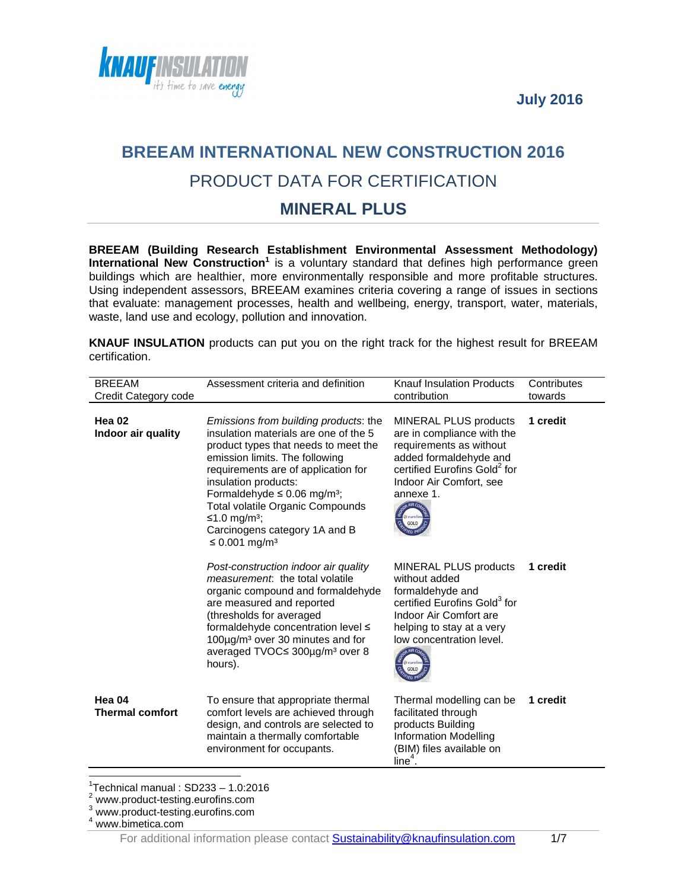**July 2016** 



# **BREEAM INTERNATIONAL NEW CONSTRUCTION 2016** PRODUCT DATA FOR CERTIFICATION

## **MINERAL PLUS**

**BREEAM (Building Research Establishment Environmental Assessment Methodology)**  International New Construction<sup>1</sup> is a voluntary standard that defines high performance green buildings which are healthier, more environmentally responsible and more profitable structures. Using independent assessors, BREEAM examines criteria covering a range of issues in sections that evaluate: management processes, health and wellbeing, energy, transport, water, materials, waste, land use and ecology, pollution and innovation.

**KNAUF INSULATION** products can put you on the right track for the highest result for BREEAM certification.

| Assessment criteria and definition                                                                                                                                                                                                                                                                                                                                                                           | Knauf Insulation Products<br>contribution                                                                                                                                                                                | Contributes<br>towards |
|--------------------------------------------------------------------------------------------------------------------------------------------------------------------------------------------------------------------------------------------------------------------------------------------------------------------------------------------------------------------------------------------------------------|--------------------------------------------------------------------------------------------------------------------------------------------------------------------------------------------------------------------------|------------------------|
| Emissions from building products: the<br>insulation materials are one of the 5<br>product types that needs to meet the<br>emission limits. The following<br>requirements are of application for<br>insulation products:<br>Formaldehyde $\leq$ 0.06 mg/m <sup>3</sup> ;<br><b>Total volatile Organic Compounds</b><br>≤1.0 mg/m <sup>3</sup> ;<br>Carcinogens category 1A and B<br>≤ 0.001 mg/m <sup>3</sup> | <b>MINERAL PLUS products</b><br>are in compliance with the<br>requirements as without<br>added formaldehyde and<br>certified Eurofins Gold <sup>2</sup> for<br>Indoor Air Comfort, see<br>annexe 1.<br>& curofin<br>GOLD | 1 credit               |
| Post-construction indoor air quality<br>measurement: the total volatile<br>organic compound and formaldehyde<br>are measured and reported<br>(thresholds for averaged<br>formaldehyde concentration level ≤<br>100µg/m <sup>3</sup> over 30 minutes and for<br>averaged TVOC≤ 300µg/m <sup>3</sup> over 8<br>hours).                                                                                         | MINERAL PLUS products<br>without added<br>formaldehyde and<br>certified Eurofins Gold <sup>3</sup> for<br>Indoor Air Comfort are<br>helping to stay at a very<br>low concentration level.<br>GOLD                        | 1 credit               |
| To ensure that appropriate thermal<br>comfort levels are achieved through<br>design, and controls are selected to<br>maintain a thermally comfortable<br>environment for occupants.                                                                                                                                                                                                                          | Thermal modelling can be<br>facilitated through<br>products Building<br><b>Information Modelling</b><br>(BIM) files available on<br>$line4$ .                                                                            | 1 credit               |
|                                                                                                                                                                                                                                                                                                                                                                                                              |                                                                                                                                                                                                                          |                        |

 $1$ <sup>1</sup>Technical manual : SD233 - 1.0:2016

<sup>&</sup>lt;sup>2</sup> www.product-testing.eurofins.com

<sup>3</sup> www.product-testing.eurofins.com

<sup>4</sup> www.bimetica.com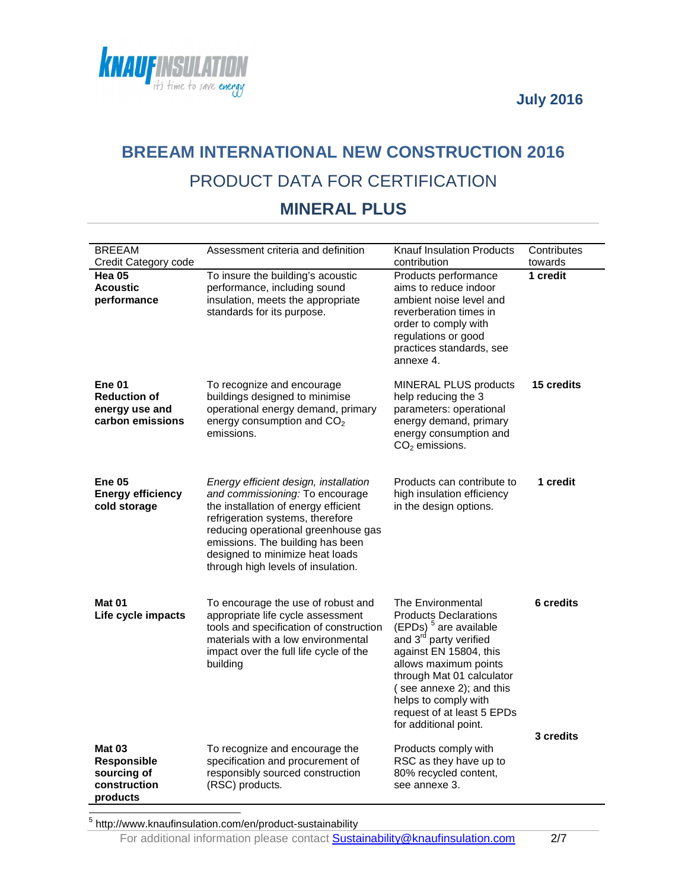



# **BREEAM INTERNATIONAL NEW CONSTRUCTION 2016** PRODUCT DATA FOR CERTIFICATION

## **MINERAL PLUS**

| <b>BREEAM</b><br>Credit Category code                                      | Assessment criteria and definition                                                                                                                                                                                                                                                                       | <b>Knauf Insulation Products</b><br>contribution                                                                                                                                                                                                                                                                        | Contributes<br>towards        |
|----------------------------------------------------------------------------|----------------------------------------------------------------------------------------------------------------------------------------------------------------------------------------------------------------------------------------------------------------------------------------------------------|-------------------------------------------------------------------------------------------------------------------------------------------------------------------------------------------------------------------------------------------------------------------------------------------------------------------------|-------------------------------|
| Hea 05<br><b>Acoustic</b><br>performance                                   | To insure the building's acoustic<br>performance, including sound<br>insulation, meets the appropriate<br>standards for its purpose.                                                                                                                                                                     | Products performance<br>aims to reduce indoor<br>ambient noise level and<br>reverberation times in<br>order to comply with<br>regulations or good<br>practices standards, see<br>annexe 4.                                                                                                                              | 1 credit                      |
| <b>Ene 01</b><br><b>Reduction of</b><br>energy use and<br>carbon emissions | To recognize and encourage<br>buildings designed to minimise<br>operational energy demand, primary<br>energy consumption and $CO2$<br>emissions.                                                                                                                                                         | <b>MINERAL PLUS products</b><br>help reducing the 3<br>parameters: operational<br>energy demand, primary<br>energy consumption and<br>$CO2$ emissions.                                                                                                                                                                  | 15 credits                    |
| <b>Ene 05</b><br><b>Energy efficiency</b><br>cold storage                  | Energy efficient design, installation<br>and commissioning: To encourage<br>the installation of energy efficient<br>refrigeration systems, therefore<br>reducing operational greenhouse gas<br>emissions. The building has been<br>designed to minimize heat loads<br>through high levels of insulation. | Products can contribute to<br>high insulation efficiency<br>in the design options.                                                                                                                                                                                                                                      | 1 credit                      |
| Mat 01<br>Life cycle impacts                                               | To encourage the use of robust and<br>appropriate life cycle assessment<br>tools and specification of construction<br>materials with a low environmental<br>impact over the full life cycle of the<br>building                                                                                           | The Environmental<br><b>Products Declarations</b><br>(EPDs) <sup>5</sup> are available<br>and 3 <sup>rd</sup> party verified<br>against EN 15804, this<br>allows maximum points<br>through Mat 01 calculator<br>(see annexe 2); and this<br>helps to comply with<br>request of at least 5 EPDs<br>for additional point. | <b>6</b> credits<br>3 credits |
| <b>Mat 03</b><br>Responsible<br>sourcing of<br>construction<br>products    | To recognize and encourage the<br>specification and procurement of<br>responsibly sourced construction<br>(RSC) products.                                                                                                                                                                                | Products comply with<br>RSC as they have up to<br>80% recycled content,<br>see annexe 3.                                                                                                                                                                                                                                |                               |

5 http://www.knaufinsulation.com/en/product-sustainability

For additional information please contact **Sustainability@knaufinsulation.com** 2/7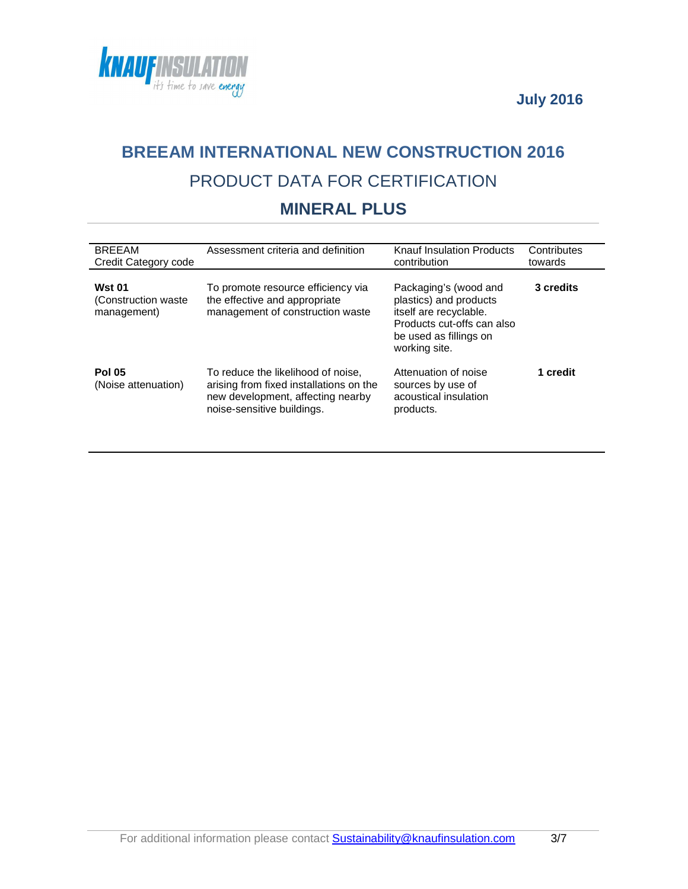



# **BREEAM INTERNATIONAL NEW CONSTRUCTION 2016** PRODUCT DATA FOR CERTIFICATION

## **MINERAL PLUS**

| <b>BREEAM</b><br>Credit Category code                | Assessment criteria and definition                                                                                                               | Knauf Insulation Products<br>contribution                                                                                                          | Contributes<br>towards |
|------------------------------------------------------|--------------------------------------------------------------------------------------------------------------------------------------------------|----------------------------------------------------------------------------------------------------------------------------------------------------|------------------------|
| <b>Wst 01</b><br>(Construction waste)<br>management) | To promote resource efficiency via<br>the effective and appropriate<br>management of construction waste                                          | Packaging's (wood and<br>plastics) and products<br>itself are recyclable.<br>Products cut-offs can also<br>be used as fillings on<br>working site. | 3 credits              |
| <b>Pol 05</b><br>(Noise attenuation)                 | To reduce the likelihood of noise,<br>arising from fixed installations on the<br>new development, affecting nearby<br>noise-sensitive buildings. | Attenuation of noise<br>sources by use of<br>acoustical insulation<br>products.                                                                    | 1 credit               |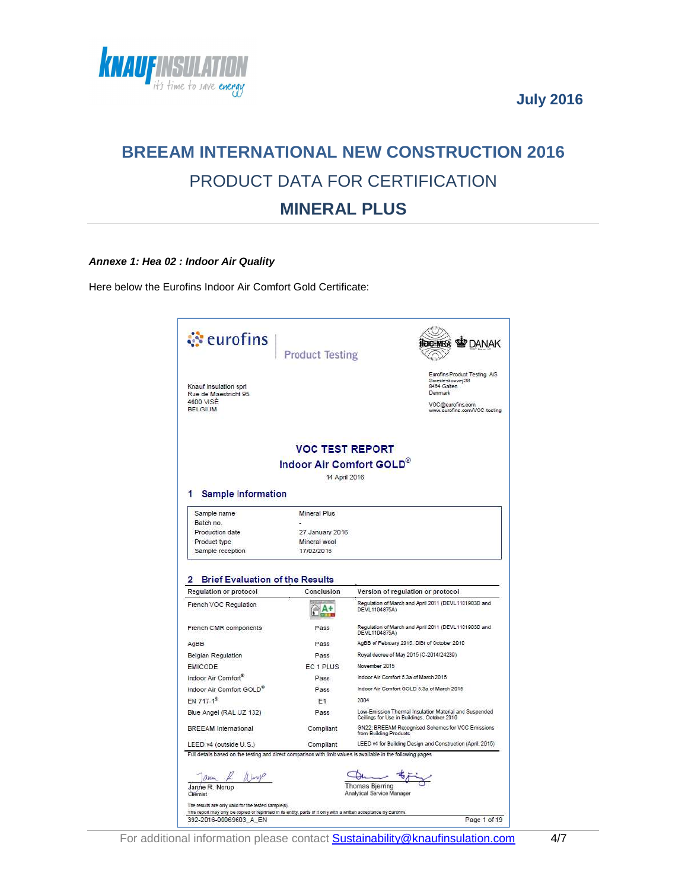



## **BREEAM INTERNATIONAL NEW CONSTRUCTION 2016** PRODUCT DATA FOR CERTIFICATION **MINERAL PLUS**

#### **Annexe 1: Hea 02 : Indoor Air Quality**

Here below the Eurofins Indoor Air Comfort Gold Certificate:

|                                                                                                                                                                                                                                     | <b>Product Testing</b>   | <b>DANAK</b>                                                                                          |
|-------------------------------------------------------------------------------------------------------------------------------------------------------------------------------------------------------------------------------------|--------------------------|-------------------------------------------------------------------------------------------------------|
| Knauf Insulation sprl<br>Rue de Maestricht 95                                                                                                                                                                                       |                          | Eurofins Product Testing A/S<br>Smedeskovvej 38<br>8464 Galten<br>Denmark                             |
| 4600 VISE<br><b>BELGIUM</b>                                                                                                                                                                                                         |                          | VOC@eurofins.com<br>www.eurofins.com/VOC-testing                                                      |
|                                                                                                                                                                                                                                     | <b>VOC TEST REPORT</b>   |                                                                                                       |
|                                                                                                                                                                                                                                     | Indoor Air Comfort GOLD® |                                                                                                       |
|                                                                                                                                                                                                                                     | 14 April 2016            |                                                                                                       |
|                                                                                                                                                                                                                                     |                          |                                                                                                       |
| <b>Sample Information</b>                                                                                                                                                                                                           |                          |                                                                                                       |
| Sample name                                                                                                                                                                                                                         | <b>Mineral Plus</b>      |                                                                                                       |
| Batch no.                                                                                                                                                                                                                           |                          |                                                                                                       |
| Production date                                                                                                                                                                                                                     | 27 January 2016          |                                                                                                       |
| Product type                                                                                                                                                                                                                        | Mineral wool             |                                                                                                       |
|                                                                                                                                                                                                                                     |                          |                                                                                                       |
| Sample reception<br><b>Brief Evaluation of the Results</b>                                                                                                                                                                          | 17/02/2016               |                                                                                                       |
|                                                                                                                                                                                                                                     | Conclusion               | Version of regulation or protocol                                                                     |
|                                                                                                                                                                                                                                     | $A +$                    | Regulation of March and April 2011 (DEVL1101903D and<br>DEVL1104875A)                                 |
|                                                                                                                                                                                                                                     | Pass                     | Regulation of March and April 2011 (DEVL1101903D and<br>DEVL1104875A)                                 |
|                                                                                                                                                                                                                                     | Pass                     | AgBB of February 2015. DIBt of October 2010                                                           |
|                                                                                                                                                                                                                                     | Pass                     | Royal decree of May 2015 (C-2014/24239)                                                               |
|                                                                                                                                                                                                                                     | EC <sub>1</sub> PLUS     | November 2015                                                                                         |
|                                                                                                                                                                                                                                     | Pass                     | Indoor Air Comfort 5.3a of March 2015                                                                 |
|                                                                                                                                                                                                                                     | Pass                     | Indoor Air Comfort GOLD 5.3a of March 2015                                                            |
|                                                                                                                                                                                                                                     | E <sub>1</sub>           | 2004                                                                                                  |
|                                                                                                                                                                                                                                     | Pass                     | Low-Emission Thermal Insulation Material and Suspended<br>Ceilings for Use in Buildings, October 2010 |
|                                                                                                                                                                                                                                     | Compliant                | GN22: BREEAM Recognised Schemes for VOC Emissions<br>from Building Products                           |
| 2<br><b>Regulation or protocol</b><br>French VOC Regulation<br>French CMR components<br>AgBB<br><b>Belgian Regulation</b><br><b>EMICODE</b><br>Indoor Air Comfort®<br>Indoor Air Comfort GOLD <sup>®</sup><br>EN 717-1 <sup>9</sup> |                          |                                                                                                       |
|                                                                                                                                                                                                                                     |                          |                                                                                                       |
| Blue Angel (RAL UZ 132)<br><b>BREEAM</b> International<br>LEED v4 (outside U.S.)<br>Full details based on the testing and direct comparison with limit values is available in the following pages                                   | Compliant                | LEED v4 for Building Design and Construction (April, 2015)                                            |
|                                                                                                                                                                                                                                     |                          |                                                                                                       |
| aren / Warry                                                                                                                                                                                                                        |                          |                                                                                                       |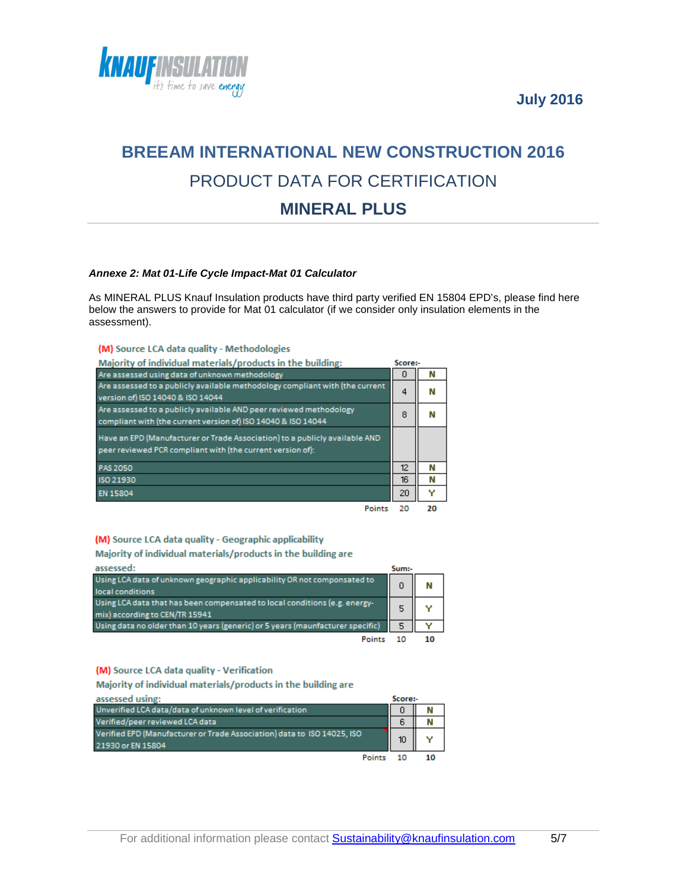



## **BREEAM INTERNATIONAL NEW CONSTRUCTION 2016** PRODUCT DATA FOR CERTIFICATION **MINERAL PLUS**

#### **Annexe 2: Mat 01-Life Cycle Impact-Mat 01 Calculator**

As MINERAL PLUS Knauf Insulation products have third party verified EN 15804 EPD's, please find here below the answers to provide for Mat 01 calculator (if we consider only insulation elements in the assessment).

#### (M) Source LCA data quality - Methodologies

| Majority of individual materials/products in the building:                                                                                | Score:- |    |
|-------------------------------------------------------------------------------------------------------------------------------------------|---------|----|
| Are assessed using data of unknown methodology                                                                                            | n       | N  |
| Are assessed to a publicly available methodology compliant with (the current<br>version of) ISO 14040 & ISO 14044                         | 4       | N  |
| Are assessed to a publicly available AND peer reviewed methodology<br>compliant with (the current version of) ISO 14040 & ISO 14044       | 8       | N  |
| Have an EPD (Manufacturer or Trade Association) to a publicly available AND<br>peer reviewed PCR compliant with (the current version of): |         |    |
| PAS 2050                                                                                                                                  | 12      | N  |
| ISO 21930                                                                                                                                 | 16      | N  |
| <b>EN 15804</b>                                                                                                                           | 20      |    |
| Points                                                                                                                                    | 20      | 20 |

#### (M) Source LCA data quality - Geographic applicability

Majority of individual materials/products in the building are

| assessed:                                                                                                    | Sum:- |    |
|--------------------------------------------------------------------------------------------------------------|-------|----|
| Using LCA data of unknown geographic applicability OR not componsated to<br>local conditions                 | Ω     | M  |
| Using LCA data that has been compensated to local conditions (e.g. energy-<br>mix) according to CEN/TR 15941 | 5     |    |
| Using data no older than 10 years (generic) or 5 years (maunfacturer specific)                               | 5     |    |
| Point                                                                                                        | 10    | 10 |

#### (M) Source LCA data quality - Verification

Majority of individual materials/products in the building are

| assessed using:                                                         | Score:- |   |
|-------------------------------------------------------------------------|---------|---|
| Unverified LCA data/data of unknown level of verification               | 0       | N |
| Verified/peer reviewed LCA data                                         | 6       |   |
| Verified EPD (Manufacturer or Trade Association) data to ISO 14025, ISO | 10      |   |
| 21930 or EN 15804                                                       |         |   |
|                                                                         |         |   |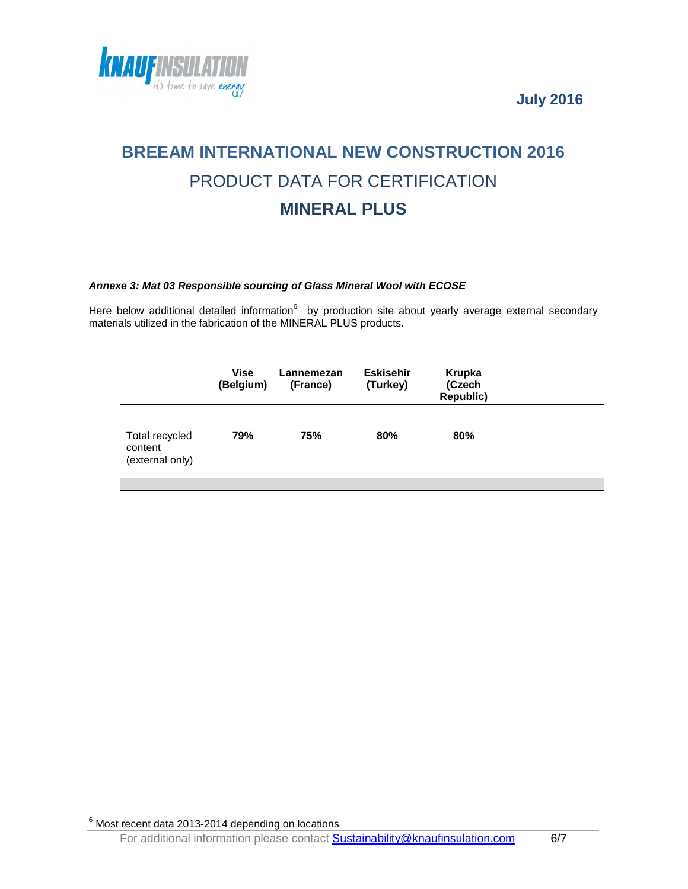



## **BREEAM INTERNATIONAL NEW CONSTRUCTION 2016** PRODUCT DATA FOR CERTIFICATION **MINERAL PLUS**

#### **Annexe 3: Mat 03 Responsible sourcing of Glass Mineral Wool with ECOSE**

Here below additional detailed information $^6$  by production site about yearly average external secondary materials utilized in the fabrication of the MINERAL PLUS products.

|                                              | Vise<br>(Belgium) | Lannemezan<br>(France) | <b>Eskisehir</b><br>(Turkey) | Krupka<br>(Czech<br>Republic) |  |
|----------------------------------------------|-------------------|------------------------|------------------------------|-------------------------------|--|
| Total recycled<br>content<br>(external only) | 79%               | 75%                    | 80%                          | 80%                           |  |

 $\frac{6}{6}$  Most recent data 2013-2014 depending on locations